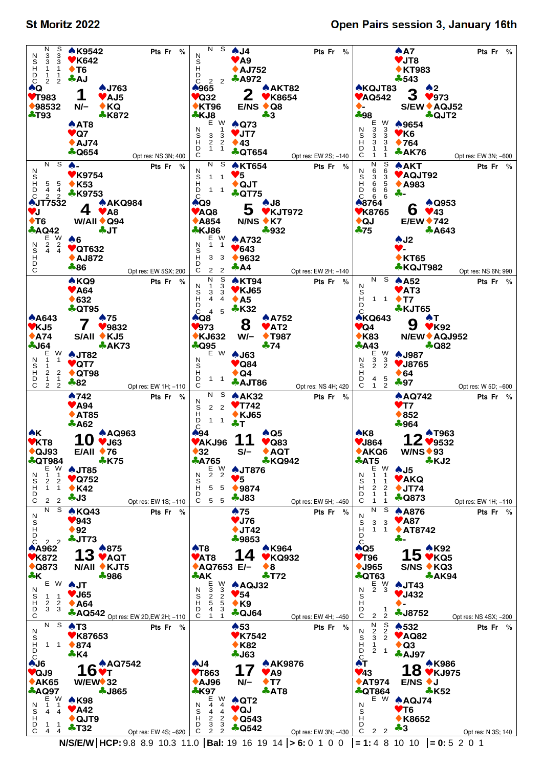